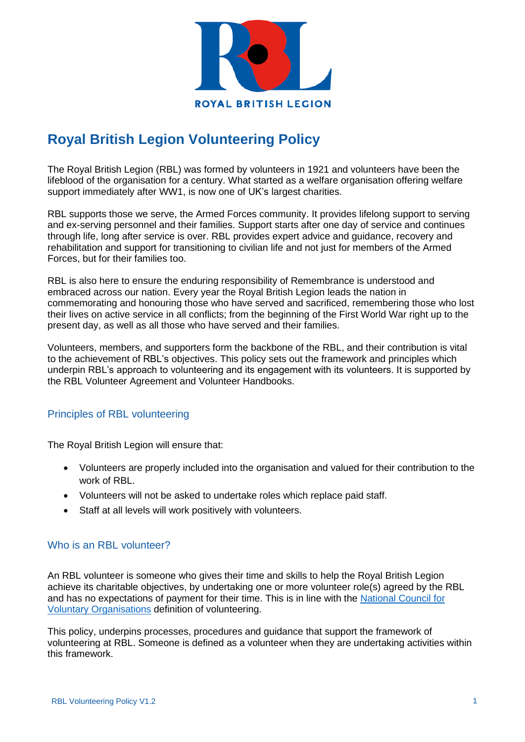

# **Royal British Legion Volunteering Policy**

The Royal British Legion (RBL) was formed by volunteers in 1921 and volunteers have been the lifeblood of the organisation for a century. What started as a welfare organisation offering welfare support immediately after WW1, is now one of UK's largest charities.

RBL supports those we serve, the Armed Forces community. It provides lifelong support to serving and ex-serving personnel and their families. Support starts after one day of service and continues through life, long after service is over. RBL provides expert advice and guidance, recovery and rehabilitation and support for transitioning to civilian life and not just for members of the Armed Forces, but for their families too.

RBL is also here to ensure the enduring responsibility of Remembrance is understood and embraced across our nation. Every year the Royal British Legion leads the nation in commemorating and honouring those who have served and sacrificed, remembering those who lost their lives on active service in all conflicts; from the beginning of the First World War right up to the present day, as well as all those who have served and their families.

Volunteers, members, and supporters form the backbone of the RBL, and their contribution is vital to the achievement of RBL's objectives. This policy sets out the framework and principles which underpin RBL's approach to volunteering and its engagement with its volunteers. It is supported by the RBL Volunteer Agreement and Volunteer Handbooks.

# Principles of RBL volunteering

The Royal British Legion will ensure that:

- Volunteers are properly included into the organisation and valued for their contribution to the work of RBL.
- Volunteers will not be asked to undertake roles which replace paid staff.
- Staff at all levels will work positively with volunteers.

## Who is an RBL volunteer?

An RBL volunteer is someone who gives their time and skills to help the Royal British Legion achieve its charitable objectives, by undertaking one or more volunteer role(s) agreed by the RBL and has no expectations of payment for their time. This is in line with the [National Council for](https://www.ncvo.org.uk/policy-and-research/volunteering-policy)  [Voluntary Organisations](https://www.ncvo.org.uk/policy-and-research/volunteering-policy) definition of volunteering.

This policy, underpins processes, procedures and guidance that support the framework of volunteering at RBL. Someone is defined as a volunteer when they are undertaking activities within this framework.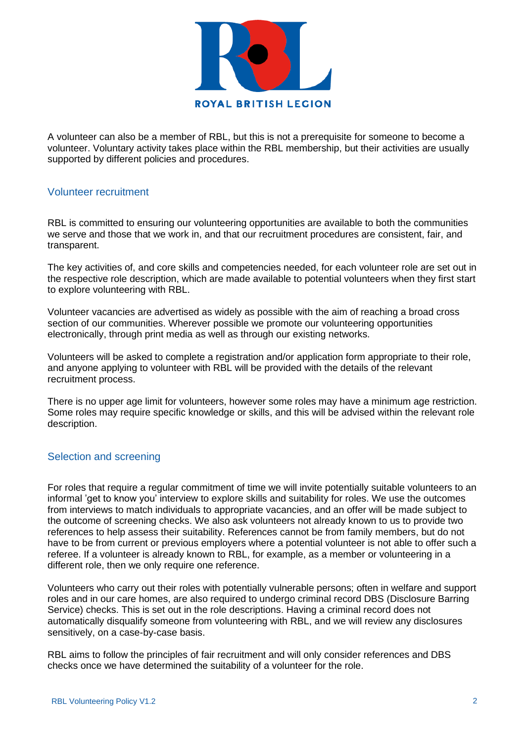

A volunteer can also be a member of RBL, but this is not a prerequisite for someone to become a volunteer. Voluntary activity takes place within the RBL membership, but their activities are usually supported by different policies and procedures.

## Volunteer recruitment

RBL is committed to ensuring our volunteering opportunities are available to both the communities we serve and those that we work in, and that our recruitment procedures are consistent, fair, and transparent.

The key activities of, and core skills and competencies needed, for each volunteer role are set out in the respective role description, which are made available to potential volunteers when they first start to explore volunteering with RBL.

Volunteer vacancies are advertised as widely as possible with the aim of reaching a broad cross section of our communities. Wherever possible we promote our volunteering opportunities electronically, through print media as well as through our existing networks.

Volunteers will be asked to complete a registration and/or application form appropriate to their role, and anyone applying to volunteer with RBL will be provided with the details of the relevant recruitment process.

There is no upper age limit for volunteers, however some roles may have a minimum age restriction. Some roles may require specific knowledge or skills, and this will be advised within the relevant role description.

## Selection and screening

For roles that require a regular commitment of time we will invite potentially suitable volunteers to an informal 'get to know you' interview to explore skills and suitability for roles. We use the outcomes from interviews to match individuals to appropriate vacancies, and an offer will be made subject to the outcome of screening checks. We also ask volunteers not already known to us to provide two references to help assess their suitability. References cannot be from family members, but do not have to be from current or previous employers where a potential volunteer is not able to offer such a referee. If a volunteer is already known to RBL, for example, as a member or volunteering in a different role, then we only require one reference.

Volunteers who carry out their roles with potentially vulnerable persons; often in welfare and support roles and in our care homes, are also required to undergo criminal record DBS (Disclosure Barring Service) checks. This is set out in the role descriptions. Having a criminal record does not automatically disqualify someone from volunteering with RBL, and we will review any disclosures sensitively, on a case-by-case basis.

RBL aims to follow the principles of fair recruitment and will only consider references and DBS checks once we have determined the suitability of a volunteer for the role.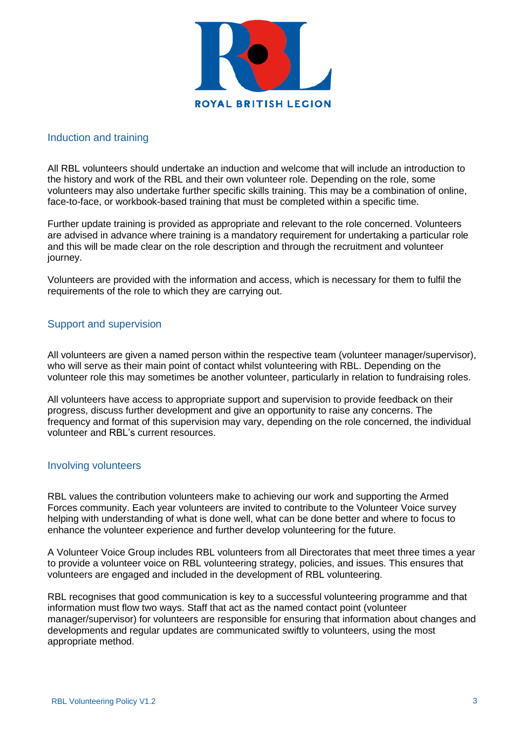

## Induction and training

All RBL volunteers should undertake an induction and welcome that will include an introduction to the history and work of the RBL and their own volunteer role. Depending on the role, some volunteers may also undertake further specific skills training. This may be a combination of online, face-to-face, or workbook-based training that must be completed within a specific time.

Further update training is provided as appropriate and relevant to the role concerned. Volunteers are advised in advance where training is a mandatory requirement for undertaking a particular role and this will be made clear on the role description and through the recruitment and volunteer journey.

Volunteers are provided with the information and access, which is necessary for them to fulfil the requirements of the role to which they are carrying out.

## Support and supervision

All volunteers are given a named person within the respective team (volunteer manager/supervisor), who will serve as their main point of contact whilst volunteering with RBL. Depending on the volunteer role this may sometimes be another volunteer, particularly in relation to fundraising roles.

All volunteers have access to appropriate support and supervision to provide feedback on their progress, discuss further development and give an opportunity to raise any concerns. The frequency and format of this supervision may vary, depending on the role concerned, the individual volunteer and RBL's current resources.

## Involving volunteers

RBL values the contribution volunteers make to achieving our work and supporting the Armed Forces community. Each year volunteers are invited to contribute to the Volunteer Voice survey helping with understanding of what is done well, what can be done better and where to focus to enhance the volunteer experience and further develop volunteering for the future.

A Volunteer Voice Group includes RBL volunteers from all Directorates that meet three times a year to provide a volunteer voice on RBL volunteering strategy, policies, and issues. This ensures that volunteers are engaged and included in the development of RBL volunteering.

RBL recognises that good communication is key to a successful volunteering programme and that information must flow two ways. Staff that act as the named contact point (volunteer manager/supervisor) for volunteers are responsible for ensuring that information about changes and developments and regular updates are communicated swiftly to volunteers, using the most appropriate method.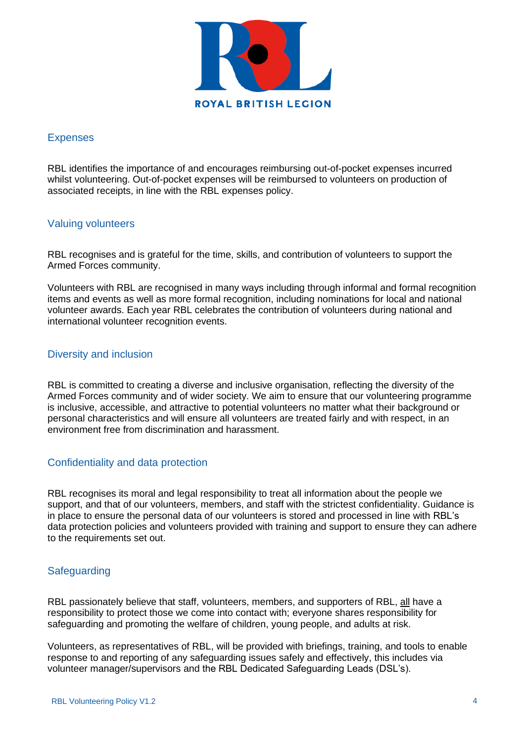

# Expenses

RBL identifies the importance of and encourages reimbursing out-of-pocket expenses incurred whilst volunteering. Out-of-pocket expenses will be reimbursed to volunteers on production of associated receipts, in line with the RBL expenses policy.

## Valuing volunteers

RBL recognises and is grateful for the time, skills, and contribution of volunteers to support the Armed Forces community.

Volunteers with RBL are recognised in many ways including through informal and formal recognition items and events as well as more formal recognition, including nominations for local and national volunteer awards. Each year RBL celebrates the contribution of volunteers during national and international volunteer recognition events.

## Diversity and inclusion

RBL is committed to creating a diverse and inclusive organisation, reflecting the diversity of the Armed Forces community and of wider society. We aim to ensure that our volunteering programme is inclusive, accessible, and attractive to potential volunteers no matter what their background or personal characteristics and will ensure all volunteers are treated fairly and with respect, in an environment free from discrimination and harassment.

## Confidentiality and data protection

RBL recognises its moral and legal responsibility to treat all information about the people we support, and that of our volunteers, members, and staff with the strictest confidentiality. Guidance is in place to ensure the personal data of our volunteers is stored and processed in line with RBL's data protection policies and volunteers provided with training and support to ensure they can adhere to the requirements set out.

# **Safeguarding**

RBL passionately believe that staff, volunteers, members, and supporters of RBL, all have a responsibility to protect those we come into contact with; everyone shares responsibility for safeguarding and promoting the welfare of children, young people, and adults at risk.

Volunteers, as representatives of RBL, will be provided with briefings, training, and tools to enable response to and reporting of any safeguarding issues safely and effectively, this includes via volunteer manager/supervisors and the RBL Dedicated Safeguarding Leads (DSL's).